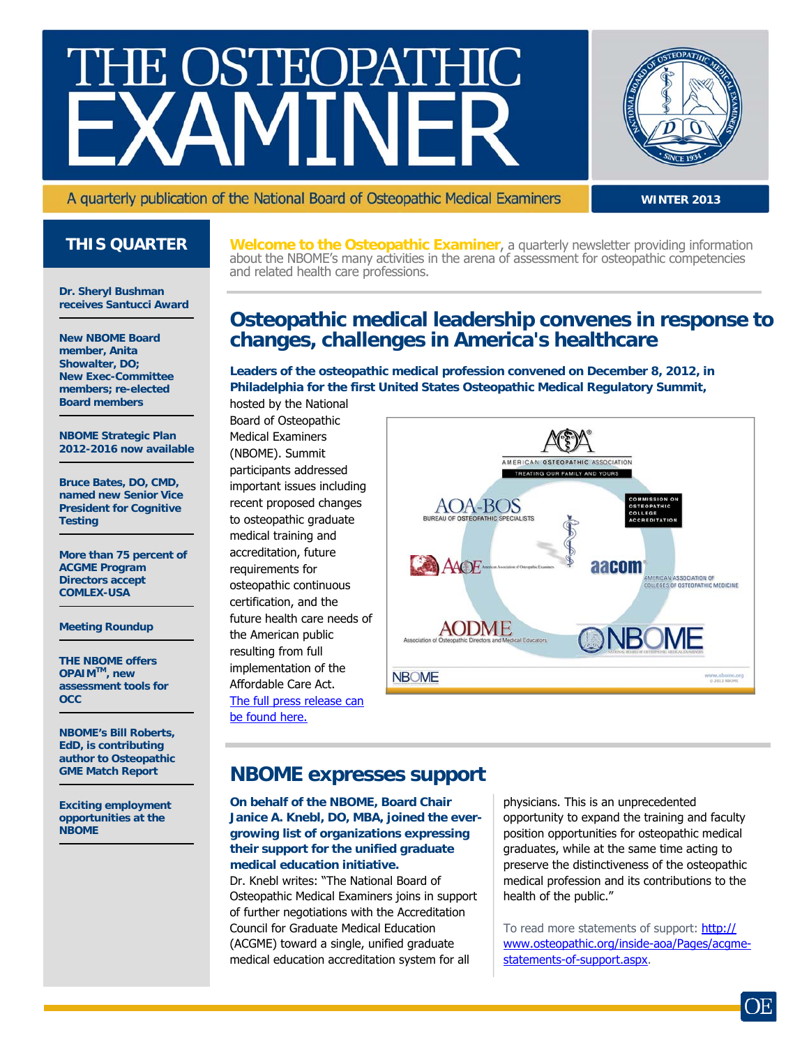# E OSTEOPAT



A quarterly publication of the National Board of Osteopathic Medical Examiners

**WINTER 2013**

**Dr. Sheryl Bushman receives Santucci Award** 

**New NBOME Board member, Anita Showalter, DO; New Exec-Committee members; re-elected Board members** 

**NBOME Strategic Plan 2012-2016 now available** 

**Bruce Bates, DO, CMD, named new Senior Vice President for Cognitive Testing** 

**More than 75 percent of ACGME Program Directors accept COMLEX-USA** 

**Meeting Roundup** 

**THE NBOME offers OPAIMTM, new assessment tools for OCC** 

**NBOME's Bill Roberts, EdD, is contributing author to Osteopathic GME Match Report** 

**Exciting employment opportunities at the NBOME** 

**THIS QUARTER** Welcome to the Osteopathic Examiner, a quarterly newsletter providing information about the NBOME's many activities in the arena of assessment for osteopathic competencies and related health care professions.

## **Osteopathic medical leadership convenes in response to changes, challenges in America's healthcare**

**Leaders of the osteopathic medical profession convened on December 8, 2012, in Philadelphia for the first United States Osteopathic Medical Regulatory Summit,** 

hosted by the National Board of Osteopathic Medical Examiners (NBOME). Summit participants addressed important issues including recent proposed changes to osteopathic graduate medical training and accreditation, future requirements for osteopathic continuous certification, and the future health care needs of the American public resulting from full implementation of the Affordable Care Act. [The full press release can](http://www.nbome.org/docs/Press_Release_12-19-12.pdf) [be found here.](http://www.nbome.org/docs/Press_Release_12-19-12.pdf)



#### **NBOME expresses support**

**On behalf of the NBOME, Board Chair Janice A. Knebl, DO, MBA, joined the evergrowing list of organizations expressing their support for the unified graduate medical education initiative.**  Dr. Knebl writes: "The National Board of Osteopathic Medical Examiners joins in support of further negotiations with the Accreditation Council for Graduate Medical Education

(ACGME) toward a single, unified graduate medical education accreditation system for all physicians. This is an unprecedented opportunity to expand the training and faculty position opportunities for osteopathic medical graduates, while at the same time acting to preserve the distinctiveness of the osteopathic medical profession and its contributions to the health of the public."

To read more statements of support: [http://](http://www.osteopathic.org/inside-aoa/Pages/acgme-statements-of-support.aspx) [www.osteopathic.org/inside-aoa/Pages/acgme](http://www.osteopathic.org/inside-aoa/Pages/acgme-statements-of-support.aspx)[statements-of-support.aspx](http://www.osteopathic.org/inside-aoa/Pages/acgme-statements-of-support.aspx).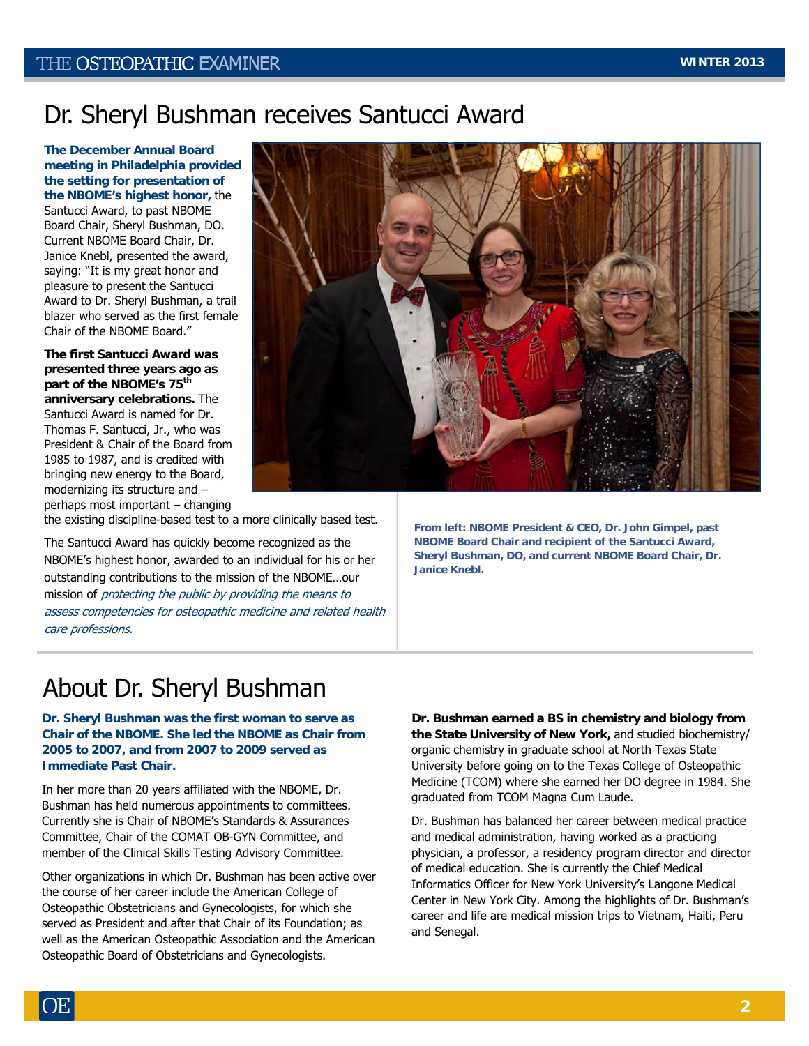## Dr. Sheryl Bushman receives Santucci Award

**The December Annual Board meeting in Philadelphia provided the setting for presentation of the NBOME's highest honor,** the Santucci Award, to past NBOME Board Chair, Sheryl Bushman, DO. Current NBOME Board Chair, Dr. Janice Knebl, presented the award, saying: "It is my great honor and pleasure to present the Santucci Award to Dr. Sheryl Bushman, a trail blazer who served as the first female Chair of the NBOME Board."

**The first Santucci Award was presented three years ago as part of the NBOME's 75th**

**anniversary celebrations.** The Santucci Award is named for Dr. Thomas F. Santucci, Jr., who was President & Chair of the Board from 1985 to 1987, and is credited with bringing new energy to the Board, modernizing its structure and – perhaps most important – changing

the existing discipline-based test to a more clinically based test.

The Santucci Award has quickly become recognized as the NBOME's highest honor, awarded to an individual for his or her outstanding contributions to the mission of the NBOME…our mission of protecting the public by providing the means to assess competencies for osteopathic medicine and related health care professions.

**From left: NBOME President & CEO, Dr. John Gimpel, past NBOME Board Chair and recipient of the Santucci Award, Sheryl Bushman, DO, and current NBOME Board Chair, Dr. Janice Knebl.** 

## About Dr. Sheryl Bushman

**Dr. Sheryl Bushman was the first woman to serve as Chair of the NBOME. She led the NBOME as Chair from 2005 to 2007, and from 2007 to 2009 served as Immediate Past Chair.** 

In her more than 20 years affiliated with the NBOME, Dr. Bushman has held numerous appointments to committees. Currently she is Chair of NBOME's Standards & Assurances Committee, Chair of the COMAT OB-GYN Committee, and member of the Clinical Skills Testing Advisory Committee.

Other organizations in which Dr. Bushman has been active over the course of her career include the American College of Osteopathic Obstetricians and Gynecologists, for which she served as President and after that Chair of its Foundation; as well as the American Osteopathic Association and the American Osteopathic Board of Obstetricians and Gynecologists.

**Dr. Bushman earned a BS in chemistry and biology from the State University of New York,** and studied biochemistry/ organic chemistry in graduate school at North Texas State University before going on to the Texas College of Osteopathic Medicine (TCOM) where she earned her DO degree in 1984. She graduated from TCOM Magna Cum Laude.

Dr. Bushman has balanced her career between medical practice and medical administration, having worked as a practicing physician, a professor, a residency program director and director of medical education. She is currently the Chief Medical Informatics Officer for New York University's Langone Medical Center in New York City. Among the highlights of Dr. Bushman's career and life are medical mission trips to Vietnam, Haiti, Peru and Senegal.

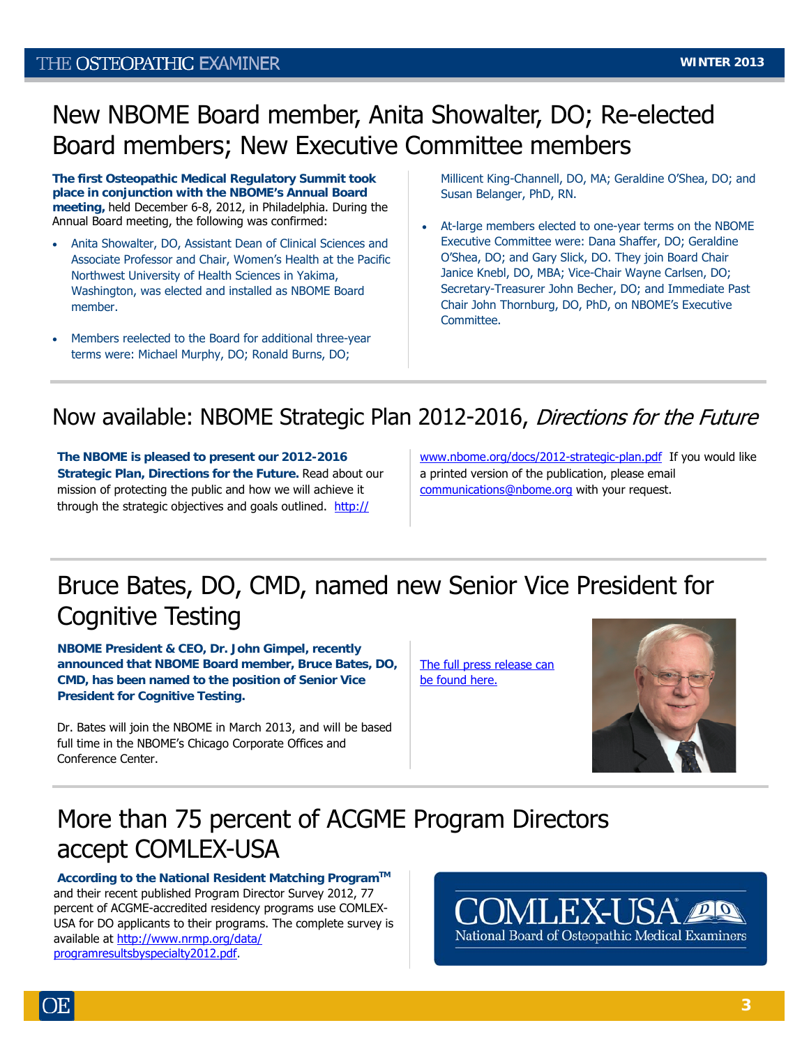### THE OSTEOPATHIC EXAMINER

## New NBOME Board member, Anita Showalter, DO; Re-elected Board members; New Executive Committee members

**The first Osteopathic Medical Regulatory Summit took place in conjunction with the NBOME's Annual Board meeting,** held December 6-8, 2012, in Philadelphia. During the Annual Board meeting, the following was confirmed:

- Anita Showalter, DO, Assistant Dean of Clinical Sciences and Associate Professor and Chair, Women's Health at the Pacific Northwest University of Health Sciences in Yakima, Washington, was elected and installed as NBOME Board member.
- Members reelected to the Board for additional three-year terms were: Michael Murphy, DO; Ronald Burns, DO;

Millicent King-Channell, DO, MA; Geraldine O'Shea, DO; and Susan Belanger, PhD, RN.

 At-large members elected to one-year terms on the NBOME Executive Committee were: Dana Shaffer, DO; Geraldine O'Shea, DO; and Gary Slick, DO. They join Board Chair Janice Knebl, DO, MBA; Vice-Chair Wayne Carlsen, DO; Secretary-Treasurer John Becher, DO; and Immediate Past Chair John Thornburg, DO, PhD, on NBOME's Executive Committee.

## Now available: NBOME Strategic Plan 2012-2016, Directions for the Future

**The NBOME is pleased to present our 2012-2016 Strategic Plan, Directions for the Future.** Read about our mission of protecting the public and how we will achieve it through the strategic objectives and goals outlined. [http://](http://www.nbome.org/docs/2012-strategic-plan.pdf)

[www.nbome.org/docs/2012-strategic-plan.pdf](http://www.nbome.org/docs/2012-strategic-plan.pdf) If you would like a printed version of the publication, please email [communications@nbome.org](mailto:communications@nbome.org) with your request.

# Bruce Bates, DO, CMD, named new Senior Vice President for Cognitive Testing

**NBOME President & CEO, Dr. John Gimpel, recently announced that NBOME Board member, Bruce Bates, DO, CMD, has been named to the position of Senior Vice President for Cognitive Testing.** 

Dr. Bates will join the NBOME in March 2013, and will be based full time in the NBOME's Chicago Corporate Offices and Conference Center.

[The full press release can](http://www.nbome.org/docs/Press_Release_12-11-12.pdf) [be found here.](http://www.nbome.org/docs/Press_Release_12-11-12.pdf)



## More than 75 percent of ACGME Program Directors accept COMLEX-USA

**According to the National Resident Matching ProgramTM** and their recent published Program Director Survey 2012, 77 percent of ACGME-accredited residency programs use COMLEX-USA for DO applicants to their programs. The complete survey is available at [http://www.nrmp.org/data/](http://r20.rs6.net/tn.jsp?e=001kh7VWBcDPRROy3d-MiPGctLtycvrwsD8NIuC_wMV7fO9vEKi6kQu2ml33Lf5oghAa7Y9aLqnEGV0KVqCG_46h8FVhSJR6QwZfHyc4CI4iQ368ERhNuFAZWak_d_QgV20zJMvSiF3tj3RM_Jp0Xig048H51f3_sKX) [programresultsbyspecialty2012.pdf](http://r20.rs6.net/tn.jsp?e=001kh7VWBcDPRROy3d-MiPGctLtycvrwsD8NIuC_wMV7fO9vEKi6kQu2ml33Lf5oghAa7Y9aLqnEGV0KVqCG_46h8FVhSJR6QwZfHyc4CI4iQ368ERhNuFAZWak_d_QgV20zJMvSiF3tj3RM_Jp0Xig048H51f3_sKX).

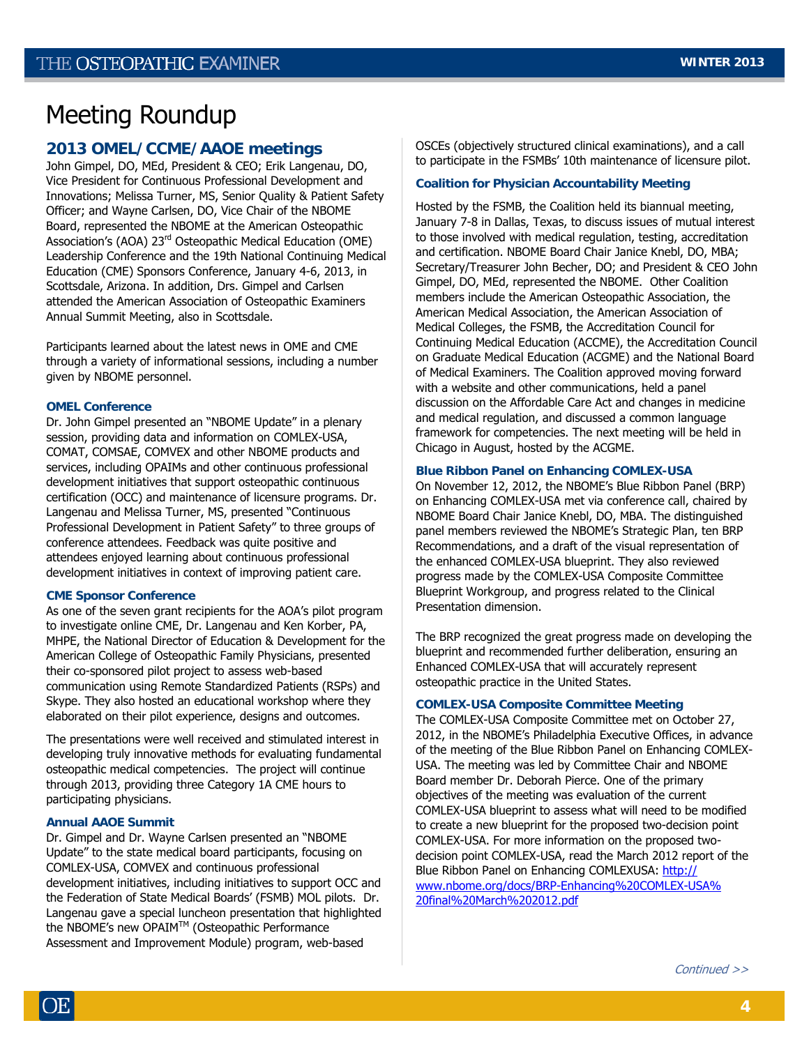## Meeting Roundup

#### **2013 OMEL/CCME/AAOE meetings**

John Gimpel, DO, MEd, President & CEO; Erik Langenau, DO, Vice President for Continuous Professional Development and Innovations; Melissa Turner, MS, Senior Quality & Patient Safety Officer; and Wayne Carlsen, DO, Vice Chair of the NBOME Board, represented the NBOME at the American Osteopathic Association's (AOA) 23rd Osteopathic Medical Education (OME) Leadership Conference and the 19th National Continuing Medical Education (CME) Sponsors Conference, January 4-6, 2013, in Scottsdale, Arizona. In addition, Drs. Gimpel and Carlsen attended the American Association of Osteopathic Examiners Annual Summit Meeting, also in Scottsdale.

Participants learned about the latest news in OME and CME through a variety of informational sessions, including a number given by NBOME personnel.

#### **OMEL Conference**

Dr. John Gimpel presented an "NBOME Update" in a plenary session, providing data and information on COMLEX-USA, COMAT, COMSAE, COMVEX and other NBOME products and services, including OPAIMs and other continuous professional development initiatives that support osteopathic continuous certification (OCC) and maintenance of licensure programs. Dr. Langenau and Melissa Turner, MS, presented "Continuous Professional Development in Patient Safety" to three groups of conference attendees. Feedback was quite positive and attendees enjoyed learning about continuous professional development initiatives in context of improving patient care.

#### **CME Sponsor Conference**

As one of the seven grant recipients for the AOA's pilot program to investigate online CME, Dr. Langenau and Ken Korber, PA, MHPE, the National Director of Education & Development for the American College of Osteopathic Family Physicians, presented their co-sponsored pilot project to assess web-based communication using Remote Standardized Patients (RSPs) and Skype. They also hosted an educational workshop where they elaborated on their pilot experience, designs and outcomes.

The presentations were well received and stimulated interest in developing truly innovative methods for evaluating fundamental osteopathic medical competencies. The project will continue through 2013, providing three Category 1A CME hours to participating physicians.

#### **Annual AAOE Summit**

Dr. Gimpel and Dr. Wayne Carlsen presented an "NBOME Update" to the state medical board participants, focusing on COMLEX-USA, COMVEX and continuous professional development initiatives, including initiatives to support OCC and the Federation of State Medical Boards' (FSMB) MOL pilots. Dr. Langenau gave a special luncheon presentation that highlighted the NBOME's new OPAIM™ (Osteopathic Performance Assessment and Improvement Module) program, web-based

OSCEs (objectively structured clinical examinations), and a call to participate in the FSMBs' 10th maintenance of licensure pilot.

#### **Coalition for Physician Accountability Meeting**

Hosted by the FSMB, the Coalition held its biannual meeting, January 7-8 in Dallas, Texas, to discuss issues of mutual interest to those involved with medical regulation, testing, accreditation and certification. NBOME Board Chair Janice Knebl, DO, MBA; Secretary/Treasurer John Becher, DO; and President & CEO John Gimpel, DO, MEd, represented the NBOME. Other Coalition members include the American Osteopathic Association, the American Medical Association, the American Association of Medical Colleges, the FSMB, the Accreditation Council for Continuing Medical Education (ACCME), the Accreditation Council on Graduate Medical Education (ACGME) and the National Board of Medical Examiners. The Coalition approved moving forward with a website and other communications, held a panel discussion on the Affordable Care Act and changes in medicine and medical regulation, and discussed a common language framework for competencies. The next meeting will be held in Chicago in August, hosted by the ACGME.

#### **Blue Ribbon Panel on Enhancing COMLEX-USA**

On November 12, 2012, the NBOME's Blue Ribbon Panel (BRP) on Enhancing COMLEX-USA met via conference call, chaired by NBOME Board Chair Janice Knebl, DO, MBA. The distinguished panel members reviewed the NBOME's Strategic Plan, ten BRP Recommendations, and a draft of the visual representation of the enhanced COMLEX-USA blueprint. They also reviewed progress made by the COMLEX-USA Composite Committee Blueprint Workgroup, and progress related to the Clinical Presentation dimension.

The BRP recognized the great progress made on developing the blueprint and recommended further deliberation, ensuring an Enhanced COMLEX-USA that will accurately represent osteopathic practice in the United States.

#### **COMLEX-USA Composite Committee Meeting**

The COMLEX-USA Composite Committee met on October 27, 2012, in the NBOME's Philadelphia Executive Offices, in advance of the meeting of the Blue Ribbon Panel on Enhancing COMLEX-USA. The meeting was led by Committee Chair and NBOME Board member Dr. Deborah Pierce. One of the primary objectives of the meeting was evaluation of the current COMLEX-USA blueprint to assess what will need to be modified to create a new blueprint for the proposed two-decision point COMLEX-USA. For more information on the proposed twodecision point COMLEX-USA, read the March 2012 report of the Blue Ribbon Panel on Enhancing COMLEXUSA: [http://](http://www.nbome.org/docs/BRP-Enhancing%20COMLEX-USA%20final%20March%202012.pdf) [www.nbome.org/docs/BRP-Enhancing%20COMLEX-USA%](http://www.nbome.org/docs/BRP-Enhancing%20COMLEX-USA%20final%20March%202012.pdf) [20final%20March%202012.pdf](http://www.nbome.org/docs/BRP-Enhancing%20COMLEX-USA%20final%20March%202012.pdf)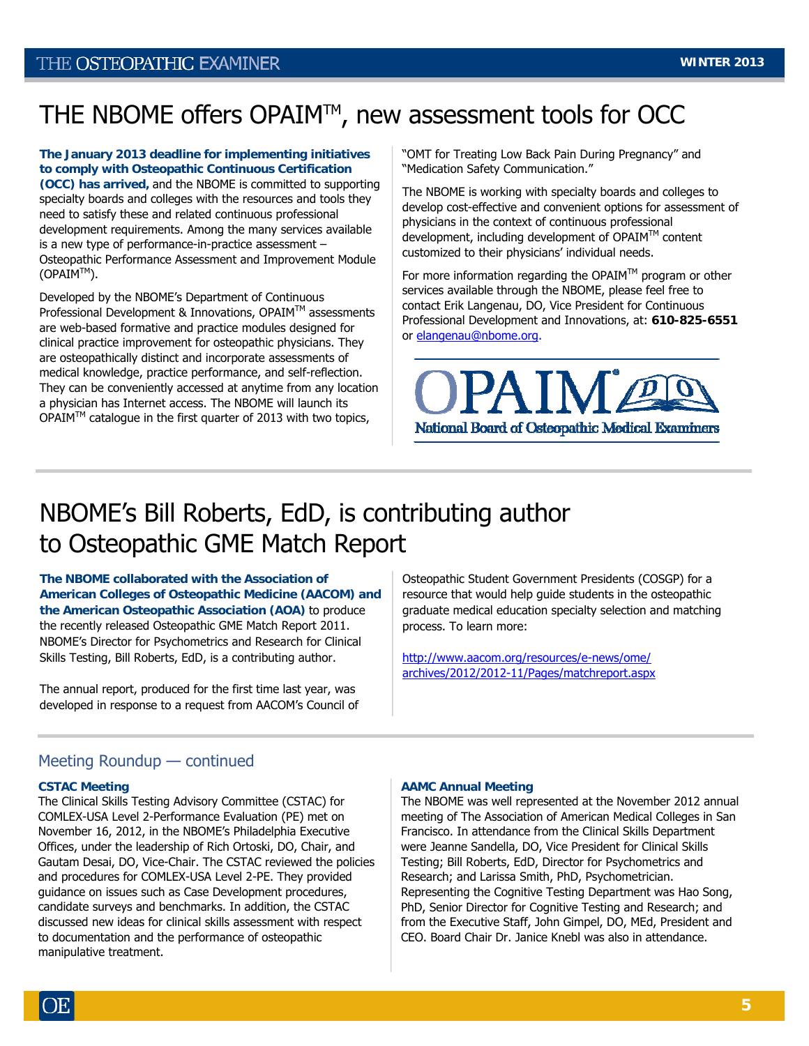## THE NBOME offers OPAIM™, new assessment tools for OCC

**The January 2013 deadline for implementing initiatives to comply with Osteopathic Continuous Certification (OCC) has arrived,** and the NBOME is committed to supporting specialty boards and colleges with the resources and tools they need to satisfy these and related continuous professional development requirements. Among the many services available is a new type of performance-in-practice assessment – Osteopathic Performance Assessment and Improvement Module  $(OPAIM<sup>TM</sup>)$ .

Developed by the NBOME's Department of Continuous Professional Development & Innovations, OPAIM™ assessments are web-based formative and practice modules designed for clinical practice improvement for osteopathic physicians. They are osteopathically distinct and incorporate assessments of medical knowledge, practice performance, and self-reflection. They can be conveniently accessed at anytime from any location a physician has Internet access. The NBOME will launch its OPAIMTM catalogue in the first quarter of 2013 with two topics,

"OMT for Treating Low Back Pain During Pregnancy" and "Medication Safety Communication."

The NBOME is working with specialty boards and colleges to develop cost-effective and convenient options for assessment of physicians in the context of continuous professional development, including development of  $OPAIM^{\mathsf{TM}}$  content customized to their physicians' individual needs.

For more information regarding the OPAIM<sup>TM</sup> program or other services available through the NBOME, please feel free to contact Erik Langenau, DO, Vice President for Continuous Professional Development and Innovations, at: **610-825-6551**  or [elangenau@nbome.org](mailto:elangenau@nbome.org).



## NBOME's Bill Roberts, EdD, is contributing author to Osteopathic GME Match Report

**The NBOME collaborated with the Association of American Colleges of Osteopathic Medicine (AACOM) and the American Osteopathic Association (AOA)** to produce the recently released Osteopathic GME Match Report 2011. NBOME's Director for Psychometrics and Research for Clinical Skills Testing, Bill Roberts, EdD, is a contributing author.

The annual report, produced for the first time last year, was developed in response to a request from AACOM's Council of Osteopathic Student Government Presidents (COSGP) for a resource that would help guide students in the osteopathic graduate medical education specialty selection and matching process. To learn more:

[http://www.aacom.org/resources/e-news/ome/](http://www.aacom.org/resources/e-news/ome/archives/2012/2012-11/Pages/matchreport.aspx) [archives/2012/2012-11/Pages/matchreport.aspx](http://www.aacom.org/resources/e-news/ome/archives/2012/2012-11/Pages/matchreport.aspx)

#### Meeting Roundup — continued

#### **CSTAC Meeting**

The Clinical Skills Testing Advisory Committee (CSTAC) for COMLEX-USA Level 2-Performance Evaluation (PE) met on November 16, 2012, in the NBOME's Philadelphia Executive Offices, under the leadership of Rich Ortoski, DO, Chair, and Gautam Desai, DO, Vice-Chair. The CSTAC reviewed the policies and procedures for COMLEX-USA Level 2-PE. They provided guidance on issues such as Case Development procedures, candidate surveys and benchmarks. In addition, the CSTAC discussed new ideas for clinical skills assessment with respect to documentation and the performance of osteopathic manipulative treatment.

#### **AAMC Annual Meeting**

The NBOME was well represented at the November 2012 annual meeting of The Association of American Medical Colleges in San Francisco. In attendance from the Clinical Skills Department were Jeanne Sandella, DO, Vice President for Clinical Skills Testing; Bill Roberts, EdD, Director for Psychometrics and Research; and Larissa Smith, PhD, Psychometrician. Representing the Cognitive Testing Department was Hao Song, PhD, Senior Director for Cognitive Testing and Research; and from the Executive Staff, John Gimpel, DO, MEd, President and CEO. Board Chair Dr. Janice Knebl was also in attendance.